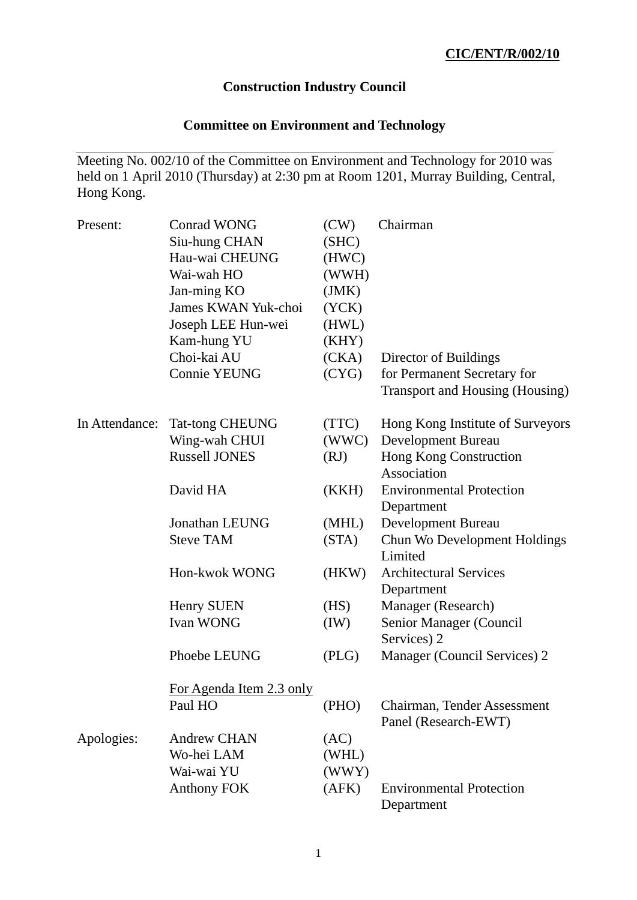## **Construction Industry Council**

# **Committee on Environment and Technology**

Meeting No. 002/10 of the Committee on Environment and Technology for 2010 was held on 1 April 2010 (Thursday) at 2:30 pm at Room 1201, Murray Building, Central, Hong Kong.

| Present:       | <b>Conrad WONG</b><br>Siu-hung CHAN<br>Hau-wai CHEUNG<br>Wai-wah HO<br>Jan-ming KO<br>James KWAN Yuk-choi<br>Joseph LEE Hun-wei<br>Kam-hung YU<br>Choi-kai AU<br><b>Connie YEUNG</b> | (CW)<br>(SHC)<br>(HWC)<br>(WWH)<br>(JMK)<br>(YCK)<br>(HWL)<br>(KHY)<br>(CKA)<br>(CYG) | Chairman<br>Director of Buildings<br>for Permanent Secretary for<br><b>Transport and Housing (Housing)</b> |
|----------------|--------------------------------------------------------------------------------------------------------------------------------------------------------------------------------------|---------------------------------------------------------------------------------------|------------------------------------------------------------------------------------------------------------|
| In Attendance: | <b>Tat-tong CHEUNG</b><br>Wing-wah CHUI<br><b>Russell JONES</b>                                                                                                                      | (TTC)<br>(WWC)<br>(RJ)                                                                | Hong Kong Institute of Surveyors<br>Development Bureau<br>Hong Kong Construction<br>Association            |
|                | David HA                                                                                                                                                                             | (KKH)                                                                                 | <b>Environmental Protection</b><br>Department                                                              |
|                | Jonathan LEUNG<br><b>Steve TAM</b>                                                                                                                                                   | (MHL)<br>(STA)                                                                        | Development Bureau<br>Chun Wo Development Holdings<br>Limited                                              |
|                | Hon-kwok WONG                                                                                                                                                                        | (HKW)                                                                                 | <b>Architectural Services</b><br>Department                                                                |
|                | Henry SUEN                                                                                                                                                                           | (HS)                                                                                  | Manager (Research)                                                                                         |
|                | <b>Ivan WONG</b>                                                                                                                                                                     | (IW)                                                                                  | Senior Manager (Council<br>Services) 2                                                                     |
|                | Phoebe LEUNG                                                                                                                                                                         | (PLG)                                                                                 | Manager (Council Services) 2                                                                               |
|                | For Agenda Item 2.3 only<br>Paul HO                                                                                                                                                  | (PHO)                                                                                 | Chairman, Tender Assessment                                                                                |
|                |                                                                                                                                                                                      |                                                                                       | Panel (Research-EWT)                                                                                       |
| Apologies:     | <b>Andrew CHAN</b><br>Wo-hei LAM                                                                                                                                                     | (AC)                                                                                  |                                                                                                            |
|                | Wai-wai YU                                                                                                                                                                           | (WHL)<br>(WWY)                                                                        |                                                                                                            |
|                | <b>Anthony FOK</b>                                                                                                                                                                   | (AFK)                                                                                 | <b>Environmental Protection</b><br>Department                                                              |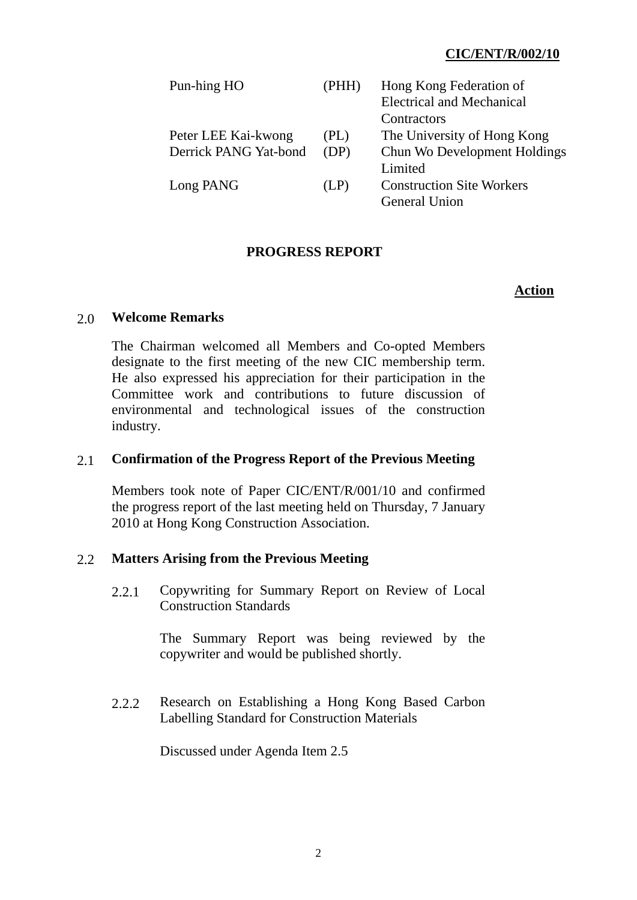### **CIC/ENT/R/002/10**

| Pun-hing HO           | (PHH) | Hong Kong Federation of          |
|-----------------------|-------|----------------------------------|
|                       |       | <b>Electrical and Mechanical</b> |
|                       |       | Contractors                      |
| Peter LEE Kai-kwong   | (PL)  | The University of Hong Kong      |
| Derrick PANG Yat-bond | (DP)  | Chun Wo Development Holdings     |
|                       |       | Limited                          |
| Long PANG             | (LP)  | <b>Construction Site Workers</b> |
|                       |       | <b>General Union</b>             |

#### **PROGRESS REPORT**

#### **Action**

#### 2.0 **Welcome Remarks**

The Chairman welcomed all Members and Co-opted Members designate to the first meeting of the new CIC membership term. He also expressed his appreciation for their participation in the Committee work and contributions to future discussion of environmental and technological issues of the construction industry.

#### 2.1 **Confirmation of the Progress Report of the Previous Meeting**

Members took note of Paper CIC/ENT/R/001/10 and confirmed the progress report of the last meeting held on Thursday, 7 January 2010 at Hong Kong Construction Association.

#### 2.2 **Matters Arising from the Previous Meeting**

 2.2.1 Copywriting for Summary Report on Review of Local Construction Standards

> The Summary Report was being reviewed by the copywriter and would be published shortly.

 2.2.2 Research on Establishing a Hong Kong Based Carbon Labelling Standard for Construction Materials

Discussed under Agenda Item 2.5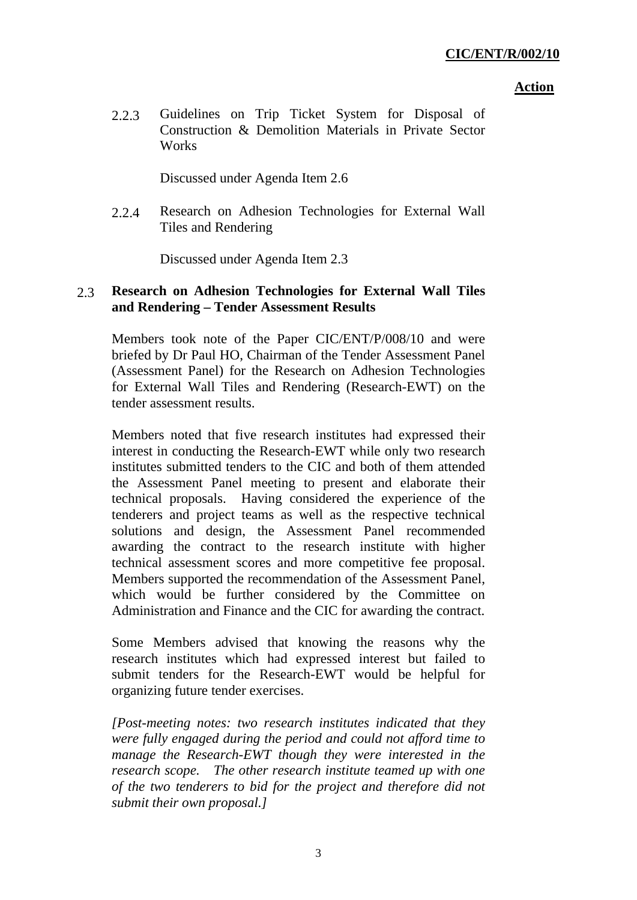#### **Action**

 2.2.3 Guidelines on Trip Ticket System for Disposal of Construction & Demolition Materials in Private Sector **Works** 

Discussed under Agenda Item 2.6

 2.2.4 Research on Adhesion Technologies for External Wall Tiles and Rendering

Discussed under Agenda Item 2.3

## 2.3 **Research on Adhesion Technologies for External Wall Tiles and Rendering – Tender Assessment Results**

Members took note of the Paper CIC/ENT/P/008/10 and were briefed by Dr Paul HO, Chairman of the Tender Assessment Panel (Assessment Panel) for the Research on Adhesion Technologies for External Wall Tiles and Rendering (Research-EWT) on the tender assessment results.

Members noted that five research institutes had expressed their interest in conducting the Research-EWT while only two research institutes submitted tenders to the CIC and both of them attended the Assessment Panel meeting to present and elaborate their technical proposals. Having considered the experience of the tenderers and project teams as well as the respective technical solutions and design, the Assessment Panel recommended awarding the contract to the research institute with higher technical assessment scores and more competitive fee proposal. Members supported the recommendation of the Assessment Panel, which would be further considered by the Committee on Administration and Finance and the CIC for awarding the contract.

Some Members advised that knowing the reasons why the research institutes which had expressed interest but failed to submit tenders for the Research-EWT would be helpful for organizing future tender exercises.

*[Post-meeting notes: two research institutes indicated that they were fully engaged during the period and could not afford time to manage the Research-EWT though they were interested in the research scope. The other research institute teamed up with one of the two tenderers to bid for the project and therefore did not submit their own proposal.]*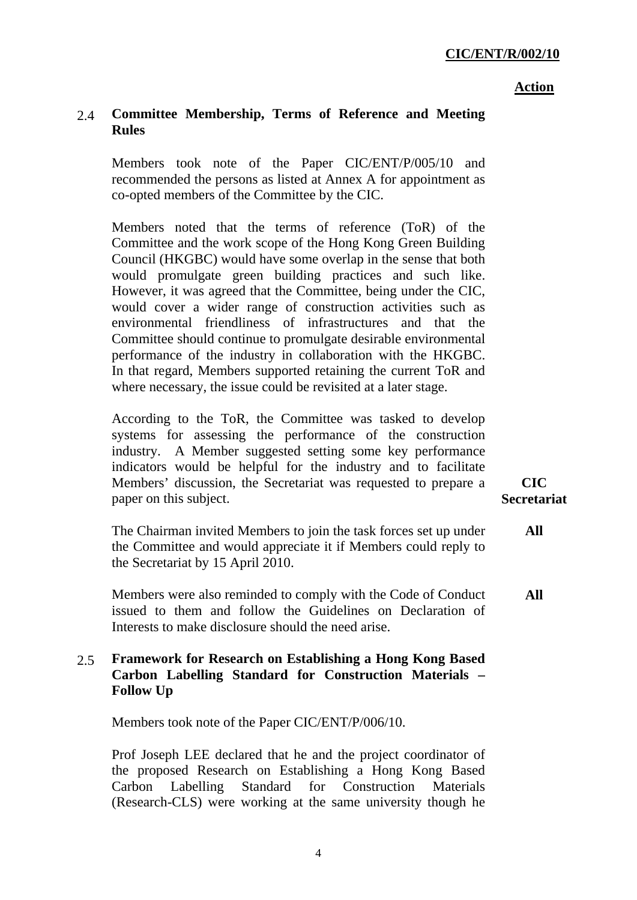#### **Action**

### 2.4 **Committee Membership, Terms of Reference and Meeting Rules**

Members took note of the Paper CIC/ENT/P/005/10 and recommended the persons as listed at Annex A for appointment as co-opted members of the Committee by the CIC.

Members noted that the terms of reference (ToR) of the Committee and the work scope of the Hong Kong Green Building Council (HKGBC) would have some overlap in the sense that both would promulgate green building practices and such like. However, it was agreed that the Committee, being under the CIC, would cover a wider range of construction activities such as environmental friendliness of infrastructures and that the Committee should continue to promulgate desirable environmental performance of the industry in collaboration with the HKGBC. In that regard, Members supported retaining the current ToR and where necessary, the issue could be revisited at a later stage.

According to the ToR, the Committee was tasked to develop systems for assessing the performance of the construction industry. A Member suggested setting some key performance indicators would be helpful for the industry and to facilitate Members' discussion, the Secretariat was requested to prepare a paper on this subject.

The Chairman invited Members to join the task forces set up under the Committee and would appreciate it if Members could reply to the Secretariat by 15 April 2010. **All** 

Members were also reminded to comply with the Code of Conduct issued to them and follow the Guidelines on Declaration of Interests to make disclosure should the need arise. **All** 

#### 2.5 **Framework for Research on Establishing a Hong Kong Based Carbon Labelling Standard for Construction Materials – Follow Up**

Members took note of the Paper CIC/ENT/P/006/10.

Prof Joseph LEE declared that he and the project coordinator of the proposed Research on Establishing a Hong Kong Based Carbon Labelling Standard for Construction Materials (Research-CLS) were working at the same university though he

**CIC Secretariat**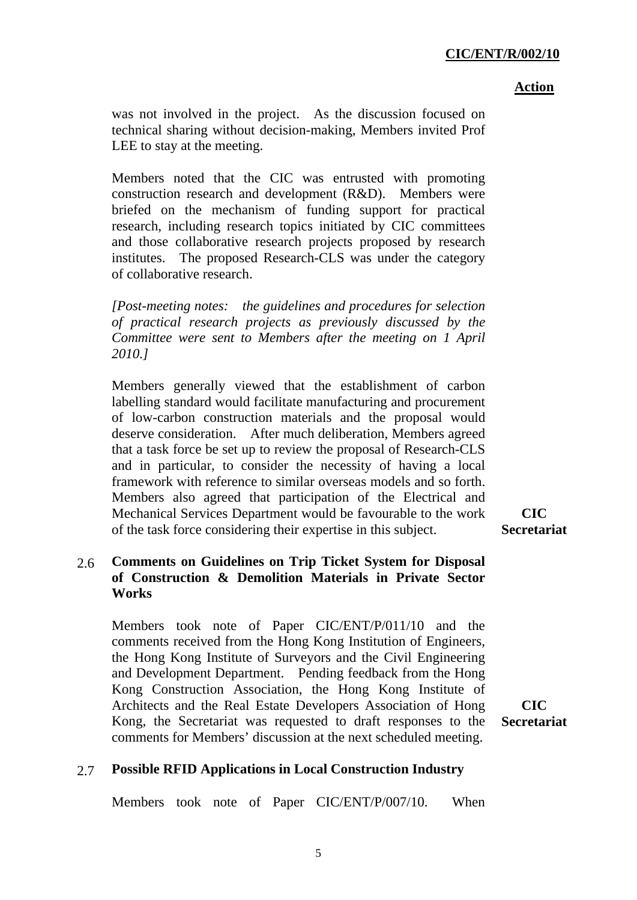#### **CIC/ENT/R/002/10**

 **Action**

was not involved in the project. As the discussion focused on technical sharing without decision-making, Members invited Prof LEE to stay at the meeting.

Members noted that the CIC was entrusted with promoting construction research and development (R&D). Members were briefed on the mechanism of funding support for practical research, including research topics initiated by CIC committees and those collaborative research projects proposed by research institutes. The proposed Research-CLS was under the category of collaborative research.

*[Post-meeting notes: the guidelines and procedures for selection of practical research projects as previously discussed by the Committee were sent to Members after the meeting on 1 April 2010.]* 

Members generally viewed that the establishment of carbon labelling standard would facilitate manufacturing and procurement of low-carbon construction materials and the proposal would deserve consideration. After much deliberation, Members agreed that a task force be set up to review the proposal of Research-CLS and in particular, to consider the necessity of having a local framework with reference to similar overseas models and so forth. Members also agreed that participation of the Electrical and Mechanical Services Department would be favourable to the work of the task force considering their expertise in this subject.

#### 2.6 **Comments on Guidelines on Trip Ticket System for Disposal of Construction & Demolition Materials in Private Sector Works**

Members took note of Paper CIC/ENT/P/011/10 and the comments received from the Hong Kong Institution of Engineers, the Hong Kong Institute of Surveyors and the Civil Engineering and Development Department. Pending feedback from the Hong Kong Construction Association, the Hong Kong Institute of Architects and the Real Estate Developers Association of Hong Kong, the Secretariat was requested to draft responses to the comments for Members' discussion at the next scheduled meeting.

**CIC Secretariat** 

#### 2.7 **Possible RFID Applications in Local Construction Industry**

Members took note of Paper CIC/ENT/P/007/10. When

**CIC Secretariat**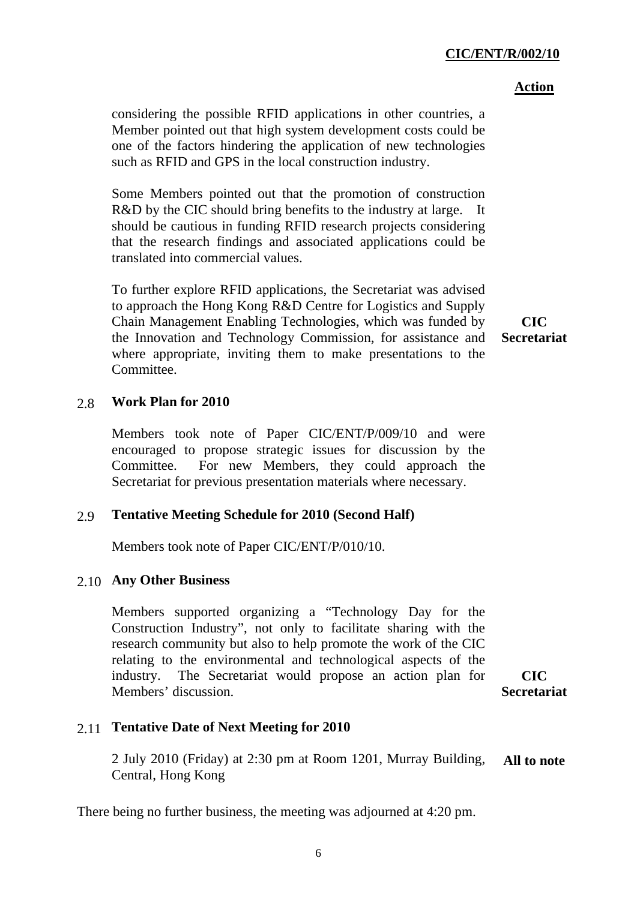6

### **CIC/ENT/R/002/10**

### **Action**

considering the possible RFID applications in other countries, a Member pointed out that high system development costs could be one of the factors hindering the application of new technologies such as RFID and GPS in the local construction industry.

Some Members pointed out that the promotion of construction R&D by the CIC should bring benefits to the industry at large. It should be cautious in funding RFID research projects considering that the research findings and associated applications could be translated into commercial values.

To further explore RFID applications, the Secretariat was advised to approach the Hong Kong R&D Centre for Logistics and Supply Chain Management Enabling Technologies, which was funded by the Innovation and Technology Commission, for assistance and where appropriate, inviting them to make presentations to the Committee.

## 2.8 **Work Plan for 2010**

Members took note of Paper CIC/ENT/P/009/10 and were encouraged to propose strategic issues for discussion by the Committee. For new Members, they could approach the Secretariat for previous presentation materials where necessary.

## 2.9 **Tentative Meeting Schedule for 2010 (Second Half)**

Members took note of Paper CIC/ENT/P/010/10.

# 2.10 **Any Other Business**

Members supported organizing a "Technology Day for the Construction Industry", not only to facilitate sharing with the research community but also to help promote the work of the CIC relating to the environmental and technological aspects of the industry. The Secretariat would propose an action plan for Members' discussion.

**CIC Secretariat** 

# 2.11 **Tentative Date of Next Meeting for 2010**

2 July 2010 (Friday) at 2:30 pm at Room 1201, Murray Building, Central, Hong Kong **All to note** 

There being no further business, the meeting was adjourned at 4:20 pm.

**CIC Secretariat**